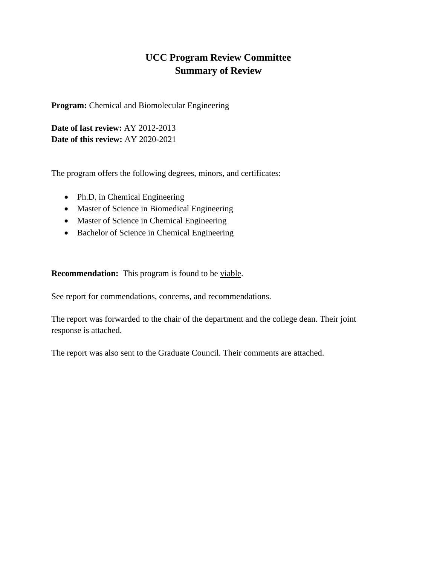## **UCC Program Review Committee Summary of Review**

**Program:** Chemical and Biomolecular Engineering

**Date of last review:** AY 2012-2013 **Date of this review:** AY 2020-2021

The program offers the following degrees, minors, and certificates:

- Ph.D. in Chemical Engineering
- Master of Science in Biomedical Engineering
- Master of Science in Chemical Engineering
- Bachelor of Science in Chemical Engineering

**Recommendation:** This program is found to be viable.

See report for commendations, concerns, and recommendations.

The report was forwarded to the chair of the department and the college dean. Their joint response is attached.

The report was also sent to the Graduate Council. Their comments are attached.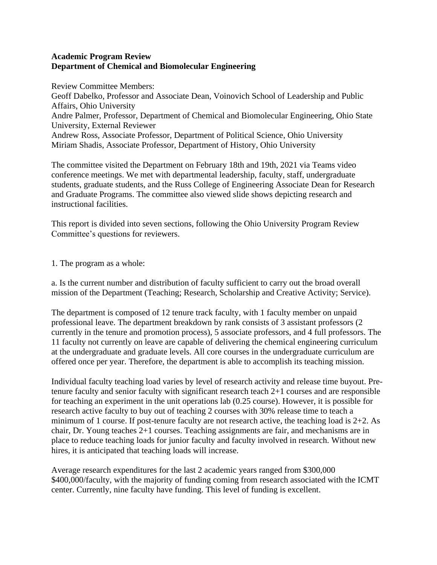## **Academic Program Review Department of Chemical and Biomolecular Engineering**

Review Committee Members: Geoff Dabelko, Professor and Associate Dean, Voinovich School of Leadership and Public Affairs, Ohio University Andre Palmer, Professor, Department of Chemical and Biomolecular Engineering, Ohio State University, External Reviewer Andrew Ross, Associate Professor, Department of Political Science, Ohio University Miriam Shadis, Associate Professor, Department of History, Ohio University

The committee visited the Department on February 18th and 19th, 2021 via Teams video conference meetings. We met with departmental leadership, faculty, staff, undergraduate students, graduate students, and the Russ College of Engineering Associate Dean for Research and Graduate Programs. The committee also viewed slide shows depicting research and instructional facilities.

This report is divided into seven sections, following the Ohio University Program Review Committee's questions for reviewers.

1. The program as a whole:

a. Is the current number and distribution of faculty sufficient to carry out the broad overall mission of the Department (Teaching; Research, Scholarship and Creative Activity; Service).

The department is composed of 12 tenure track faculty, with 1 faculty member on unpaid professional leave. The department breakdown by rank consists of 3 assistant professors (2 currently in the tenure and promotion process), 5 associate professors, and 4 full professors. The 11 faculty not currently on leave are capable of delivering the chemical engineering curriculum at the undergraduate and graduate levels. All core courses in the undergraduate curriculum are offered once per year. Therefore, the department is able to accomplish its teaching mission.

Individual faculty teaching load varies by level of research activity and release time buyout. Pretenure faculty and senior faculty with significant research teach 2+1 courses and are responsible for teaching an experiment in the unit operations lab (0.25 course). However, it is possible for research active faculty to buy out of teaching 2 courses with 30% release time to teach a minimum of 1 course. If post-tenure faculty are not research active, the teaching load is 2+2. As chair, Dr. Young teaches 2+1 courses. Teaching assignments are fair, and mechanisms are in place to reduce teaching loads for junior faculty and faculty involved in research. Without new hires, it is anticipated that teaching loads will increase.

Average research expenditures for the last 2 academic years ranged from \$300,000 \$400,000/faculty, with the majority of funding coming from research associated with the ICMT center. Currently, nine faculty have funding. This level of funding is excellent.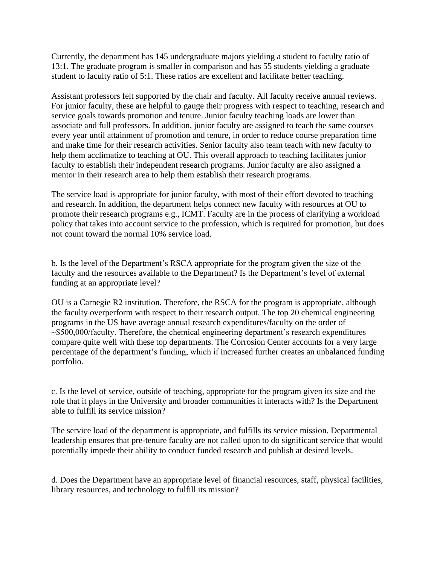Currently, the department has 145 undergraduate majors yielding a student to faculty ratio of 13:1. The graduate program is smaller in comparison and has 55 students yielding a graduate student to faculty ratio of 5:1. These ratios are excellent and facilitate better teaching.

Assistant professors felt supported by the chair and faculty. All faculty receive annual reviews. For junior faculty, these are helpful to gauge their progress with respect to teaching, research and service goals towards promotion and tenure. Junior faculty teaching loads are lower than associate and full professors. In addition, junior faculty are assigned to teach the same courses every year until attainment of promotion and tenure, in order to reduce course preparation time and make time for their research activities. Senior faculty also team teach with new faculty to help them acclimatize to teaching at OU. This overall approach to teaching facilitates junior faculty to establish their independent research programs. Junior faculty are also assigned a mentor in their research area to help them establish their research programs.

The service load is appropriate for junior faculty, with most of their effort devoted to teaching and research. In addition, the department helps connect new faculty with resources at OU to promote their research programs e.g., ICMT. Faculty are in the process of clarifying a workload policy that takes into account service to the profession, which is required for promotion, but does not count toward the normal 10% service load.

b. Is the level of the Department's RSCA appropriate for the program given the size of the faculty and the resources available to the Department? Is the Department's level of external funding at an appropriate level?

OU is a Carnegie R2 institution. Therefore, the RSCA for the program is appropriate, although the faculty overperform with respect to their research output. The top 20 chemical engineering programs in the US have average annual research expenditures/faculty on the order of ~\$500,000/faculty. Therefore, the chemical engineering department's research expenditures compare quite well with these top departments. The Corrosion Center accounts for a very large percentage of the department's funding, which if increased further creates an unbalanced funding portfolio.

c. Is the level of service, outside of teaching, appropriate for the program given its size and the role that it plays in the University and broader communities it interacts with? Is the Department able to fulfill its service mission?

The service load of the department is appropriate, and fulfills its service mission. Departmental leadership ensures that pre-tenure faculty are not called upon to do significant service that would potentially impede their ability to conduct funded research and publish at desired levels.

d. Does the Department have an appropriate level of financial resources, staff, physical facilities, library resources, and technology to fulfill its mission?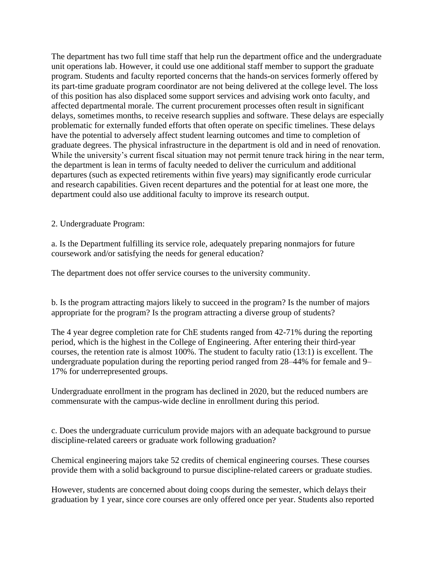The department has two full time staff that help run the department office and the undergraduate unit operations lab. However, it could use one additional staff member to support the graduate program. Students and faculty reported concerns that the hands-on services formerly offered by its part-time graduate program coordinator are not being delivered at the college level. The loss of this position has also displaced some support services and advising work onto faculty, and affected departmental morale. The current procurement processes often result in significant delays, sometimes months, to receive research supplies and software. These delays are especially problematic for externally funded efforts that often operate on specific timelines. These delays have the potential to adversely affect student learning outcomes and time to completion of graduate degrees. The physical infrastructure in the department is old and in need of renovation. While the university's current fiscal situation may not permit tenure track hiring in the near term, the department is lean in terms of faculty needed to deliver the curriculum and additional departures (such as expected retirements within five years) may significantly erode curricular and research capabilities. Given recent departures and the potential for at least one more, the department could also use additional faculty to improve its research output.

2. Undergraduate Program:

a. Is the Department fulfilling its service role, adequately preparing nonmajors for future coursework and/or satisfying the needs for general education?

The department does not offer service courses to the university community.

b. Is the program attracting majors likely to succeed in the program? Is the number of majors appropriate for the program? Is the program attracting a diverse group of students?

The 4 year degree completion rate for ChE students ranged from 42-71% during the reporting period, which is the highest in the College of Engineering. After entering their third-year courses, the retention rate is almost 100%. The student to faculty ratio (13:1) is excellent. The undergraduate population during the reporting period ranged from 28–44% for female and 9– 17% for underrepresented groups.

Undergraduate enrollment in the program has declined in 2020, but the reduced numbers are commensurate with the campus-wide decline in enrollment during this period.

c. Does the undergraduate curriculum provide majors with an adequate background to pursue discipline-related careers or graduate work following graduation?

Chemical engineering majors take 52 credits of chemical engineering courses. These courses provide them with a solid background to pursue discipline-related careers or graduate studies.

However, students are concerned about doing coops during the semester, which delays their graduation by 1 year, since core courses are only offered once per year. Students also reported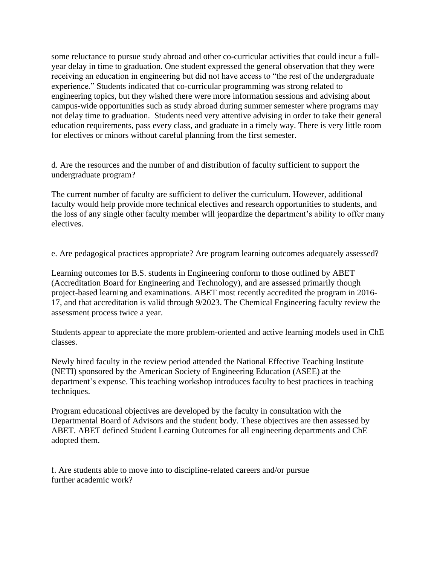some reluctance to pursue study abroad and other co-curricular activities that could incur a fullyear delay in time to graduation. One student expressed the general observation that they were receiving an education in engineering but did not have access to "the rest of the undergraduate experience." Students indicated that co-curricular programming was strong related to engineering topics, but they wished there were more information sessions and advising about campus-wide opportunities such as study abroad during summer semester where programs may not delay time to graduation. Students need very attentive advising in order to take their general education requirements, pass every class, and graduate in a timely way. There is very little room for electives or minors without careful planning from the first semester.

d. Are the resources and the number of and distribution of faculty sufficient to support the undergraduate program?

The current number of faculty are sufficient to deliver the curriculum. However, additional faculty would help provide more technical electives and research opportunities to students, and the loss of any single other faculty member will jeopardize the department's ability to offer many electives.

e. Are pedagogical practices appropriate? Are program learning outcomes adequately assessed?

Learning outcomes for B.S. students in Engineering conform to those outlined by ABET (Accreditation Board for Engineering and Technology), and are assessed primarily though project-based learning and examinations. ABET most recently accredited the program in 2016- 17, and that accreditation is valid through 9/2023. The Chemical Engineering faculty review the assessment process twice a year.

Students appear to appreciate the more problem-oriented and active learning models used in ChE classes.

Newly hired faculty in the review period attended the National Effective Teaching Institute (NETI) sponsored by the American Society of Engineering Education (ASEE) at the department's expense. This teaching workshop introduces faculty to best practices in teaching techniques.

Program educational objectives are developed by the faculty in consultation with the Departmental Board of Advisors and the student body. These objectives are then assessed by ABET. ABET defined Student Learning Outcomes for all engineering departments and ChE adopted them.

f. Are students able to move into to discipline-related careers and/or pursue further academic work?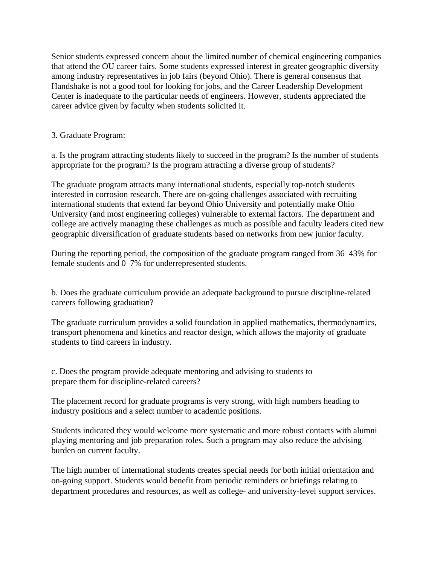Senior students expressed concern about the limited number of chemical engineering companies that attend the OU career fairs. Some students expressed interest in greater geographic diversity among industry representatives in job fairs (beyond Ohio). There is general consensus that Handshake is not a good tool for looking for jobs, and the Career Leadership Development Center is inadequate to the particular needs of engineers. However, students appreciated the career advice given by faculty when students solicited it.

3. Graduate Program:

a. Is the program attracting students likely to succeed in the program? Is the number of students appropriate for the program? Is the program attracting a diverse group of students?

The graduate program attracts many international students, especially top-notch students interested in corrosion research. There are on-going challenges associated with recruiting international students that extend far beyond Ohio University and potentially make Ohio University (and most engineering colleges) vulnerable to external factors. The department and college are actively managing these challenges as much as possible and faculty leaders cited new geographic diversification of graduate students based on networks from new junior faculty.

During the reporting period, the composition of the graduate program ranged from 36–43% for female students and 0–7% for underrepresented students.

b. Does the graduate curriculum provide an adequate background to pursue discipline-related careers following graduation?

The graduate curriculum provides a solid foundation in applied mathematics, thermodynamics, transport phenomena and kinetics and reactor design, which allows the majority of graduate students to find careers in industry.

c. Does the program provide adequate mentoring and advising to students to prepare them for discipline-related careers?

The placement record for graduate programs is very strong, with high numbers heading to industry positions and a select number to academic positions.

Students indicated they would welcome more systematic and more robust contacts with alumni playing mentoring and job preparation roles. Such a program may also reduce the advising burden on current faculty.

The high number of international students creates special needs for both initial orientation and on-going support. Students would benefit from periodic reminders or briefings relating to department procedures and resources, as well as college- and university-level support services.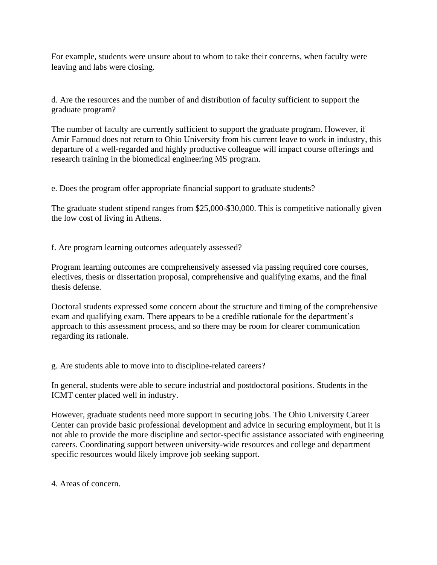For example, students were unsure about to whom to take their concerns, when faculty were leaving and labs were closing.

d. Are the resources and the number of and distribution of faculty sufficient to support the graduate program?

The number of faculty are currently sufficient to support the graduate program. However, if Amir Farnoud does not return to Ohio University from his current leave to work in industry, this departure of a well-regarded and highly productive colleague will impact course offerings and research training in the biomedical engineering MS program.

e. Does the program offer appropriate financial support to graduate students?

The graduate student stipend ranges from \$25,000-\$30,000. This is competitive nationally given the low cost of living in Athens.

f. Are program learning outcomes adequately assessed?

Program learning outcomes are comprehensively assessed via passing required core courses, electives, thesis or dissertation proposal, comprehensive and qualifying exams, and the final thesis defense.

Doctoral students expressed some concern about the structure and timing of the comprehensive exam and qualifying exam. There appears to be a credible rationale for the department's approach to this assessment process, and so there may be room for clearer communication regarding its rationale.

g. Are students able to move into to discipline-related careers?

In general, students were able to secure industrial and postdoctoral positions. Students in the ICMT center placed well in industry.

However, graduate students need more support in securing jobs. The Ohio University Career Center can provide basic professional development and advice in securing employment, but it is not able to provide the more discipline and sector-specific assistance associated with engineering careers. Coordinating support between university-wide resources and college and department specific resources would likely improve job seeking support.

4. Areas of concern.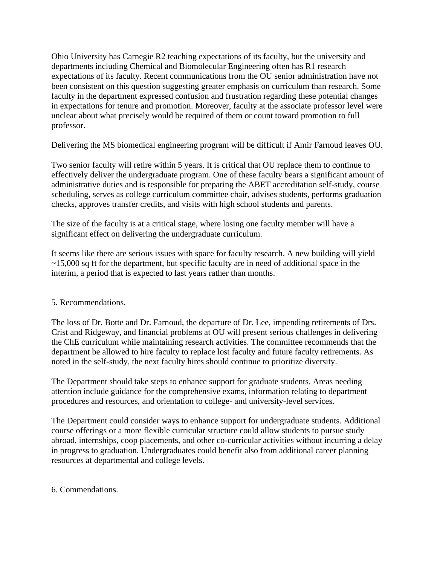Ohio University has Carnegie R2 teaching expectations of its faculty, but the university and departments including Chemical and Biomolecular Engineering often has R1 research expectations of its faculty. Recent communications from the OU senior administration have not been consistent on this question suggesting greater emphasis on curriculum than research. Some faculty in the department expressed confusion and frustration regarding these potential changes in expectations for tenure and promotion. Moreover, faculty at the associate professor level were unclear about what precisely would be required of them or count toward promotion to full professor.

Delivering the MS biomedical engineering program will be difficult if Amir Farnoud leaves OU.

Two senior faculty will retire within 5 years. It is critical that OU replace them to continue to effectively deliver the undergraduate program. One of these faculty bears a significant amount of administrative duties and is responsible for preparing the ABET accreditation self-study, course scheduling, serves as college curriculum committee chair, advises students, performs graduation checks, approves transfer credits, and visits with high school students and parents.

The size of the faculty is at a critical stage, where losing one faculty member will have a significant effect on delivering the undergraduate curriculum.

It seems like there are serious issues with space for faculty research. A new building will yield  $\sim$ 15,000 sq ft for the department, but specific faculty are in need of additional space in the interim, a period that is expected to last years rather than months.

## 5. Recommendations.

The loss of Dr. Botte and Dr. Farnoud, the departure of Dr. Lee, impending retirements of Drs. Crist and Ridgeway, and financial problems at OU will present serious challenges in delivering the ChE curriculum while maintaining research activities. The committee recommends that the department be allowed to hire faculty to replace lost faculty and future faculty retirements. As noted in the self-study, the next faculty hires should continue to prioritize diversity.

The Department should take steps to enhance support for graduate students. Areas needing attention include guidance for the comprehensive exams, information relating to department procedures and resources, and orientation to college- and university-level services.

The Department could consider ways to enhance support for undergraduate students. Additional course offerings or a more flexible curricular structure could allow students to pursue study abroad, internships, coop placements, and other co-curricular activities without incurring a delay in progress to graduation. Undergraduates could benefit also from additional career planning resources at departmental and college levels.

6. Commendations.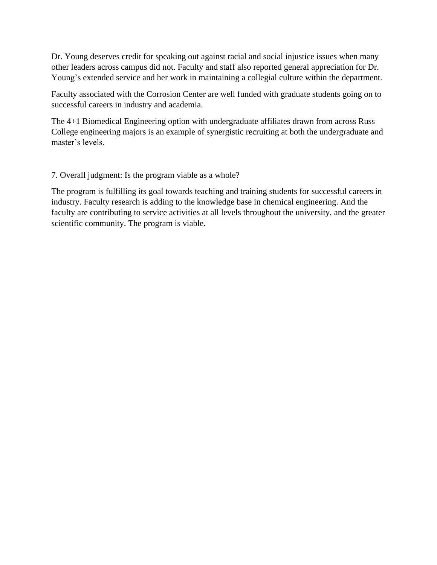Dr. Young deserves credit for speaking out against racial and social injustice issues when many other leaders across campus did not. Faculty and staff also reported general appreciation for Dr. Young's extended service and her work in maintaining a collegial culture within the department.

Faculty associated with the Corrosion Center are well funded with graduate students going on to successful careers in industry and academia.

The 4+1 Biomedical Engineering option with undergraduate affiliates drawn from across Russ College engineering majors is an example of synergistic recruiting at both the undergraduate and master's levels.

7. Overall judgment: Is the program viable as a whole?

The program is fulfilling its goal towards teaching and training students for successful careers in industry. Faculty research is adding to the knowledge base in chemical engineering. And the faculty are contributing to service activities at all levels throughout the university, and the greater scientific community. The program is viable.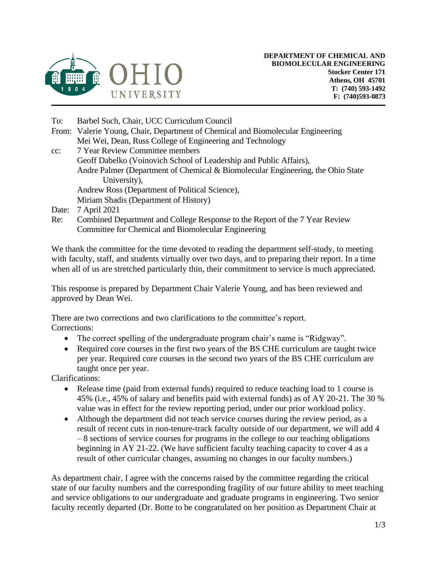

- To: Barbel Such, Chair, UCC Curriculum Council
- From: Valerie Young, Chair, Department of Chemical and Biomolecular Engineering Mei Wei, Dean, Russ College of Engineering and Technology
- cc: 7 Year Review Committee members Geoff Dabelko (Voinovich School of Leadership and Public Affairs), Andre Palmer (Department of Chemical & Biomolecular Engineering, the Ohio State University), Andrew Ross (Department of Political Science), Miriam Shadis (Department of History)
- Date: 7 April 2021
- Re: Combined Department and College Response to the Report of the 7 Year Review Committee for Chemical and Biomolecular Engineering

We thank the committee for the time devoted to reading the department self-study, to meeting with faculty, staff, and students virtually over two days, and to preparing their report. In a time when all of us are stretched particularly thin, their commitment to service is much appreciated.

This response is prepared by Department Chair Valerie Young, and has been reviewed and approved by Dean Wei.

There are two corrections and two clarifications to the committee's report. Corrections:

- The correct spelling of the undergraduate program chair's name is "Ridgway".
- Required core courses in the first two years of the BS CHE curriculum are taught twice per year. Required core courses in the second two years of the BS CHE curriculum are taught once per year.

Clarifications:

- Release time (paid from external funds) required to reduce teaching load to 1 course is 45% (i.e., 45% of salary and benefits paid with external funds) as of AY 20-21. The 30 % value was in effect for the review reporting period, under our prior workload policy.
- Although the department did not teach service courses during the review period, as a result of recent cuts in non-tenure-track faculty outside of our department, we will add 4 – 8 sections of service courses for programs in the college to our teaching obligations beginning in AY 21-22. (We have sufficient faculty teaching capacity to cover 4 as a result of other curricular changes, assuming no changes in our faculty numbers.)

As department chair, I agree with the concerns raised by the committee regarding the critical state of our faculty numbers and the corresponding fragility of our future ability to meet teaching and service obligations to our undergraduate and graduate programs in engineering. Two senior faculty recently departed (Dr. Botte to be congratulated on her position as Department Chair at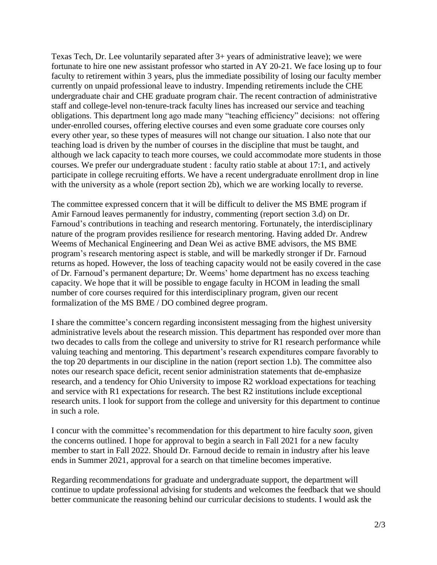Texas Tech, Dr. Lee voluntarily separated after 3+ years of administrative leave); we were fortunate to hire one new assistant professor who started in AY 20-21. We face losing up to four faculty to retirement within 3 years, plus the immediate possibility of losing our faculty member currently on unpaid professional leave to industry. Impending retirements include the CHE undergraduate chair and CHE graduate program chair. The recent contraction of administrative staff and college-level non-tenure-track faculty lines has increased our service and teaching obligations. This department long ago made many "teaching efficiency" decisions: not offering under-enrolled courses, offering elective courses and even some graduate core courses only every other year, so these types of measures will not change our situation. I also note that our teaching load is driven by the number of courses in the discipline that must be taught, and although we lack capacity to teach more courses, we could accommodate more students in those courses. We prefer our undergraduate student : faculty ratio stable at about 17:1, and actively participate in college recruiting efforts. We have a recent undergraduate enrollment drop in line with the university as a whole (report section 2b), which we are working locally to reverse.

The committee expressed concern that it will be difficult to deliver the MS BME program if Amir Farnoud leaves permanently for industry, commenting (report section 3.d) on Dr. Farnoud's contributions in teaching and research mentoring. Fortunately, the interdisciplinary nature of the program provides resilience for research mentoring. Having added Dr. Andrew Weems of Mechanical Engineering and Dean Wei as active BME advisors, the MS BME program's research mentoring aspect is stable, and will be markedly stronger if Dr. Farnoud returns as hoped. However, the loss of teaching capacity would not be easily covered in the case of Dr. Farnoud's permanent departure; Dr. Weems' home department has no excess teaching capacity. We hope that it will be possible to engage faculty in HCOM in leading the small number of core courses required for this interdisciplinary program, given our recent formalization of the MS BME / DO combined degree program.

I share the committee's concern regarding inconsistent messaging from the highest university administrative levels about the research mission. This department has responded over more than two decades to calls from the college and university to strive for R1 research performance while valuing teaching and mentoring. This department's research expenditures compare favorably to the top 20 departments in our discipline in the nation (report section 1.b). The committee also notes our research space deficit, recent senior administration statements that de-emphasize research, and a tendency for Ohio University to impose R2 workload expectations for teaching and service with R1 expectations for research. The best R2 institutions include exceptional research units. I look for support from the college and university for this department to continue in such a role.

I concur with the committee's recommendation for this department to hire faculty *soon*, given the concerns outlined. I hope for approval to begin a search in Fall 2021 for a new faculty member to start in Fall 2022. Should Dr. Farnoud decide to remain in industry after his leave ends in Summer 2021, approval for a search on that timeline becomes imperative.

Regarding recommendations for graduate and undergraduate support, the department will continue to update professional advising for students and welcomes the feedback that we should better communicate the reasoning behind our curricular decisions to students. I would ask the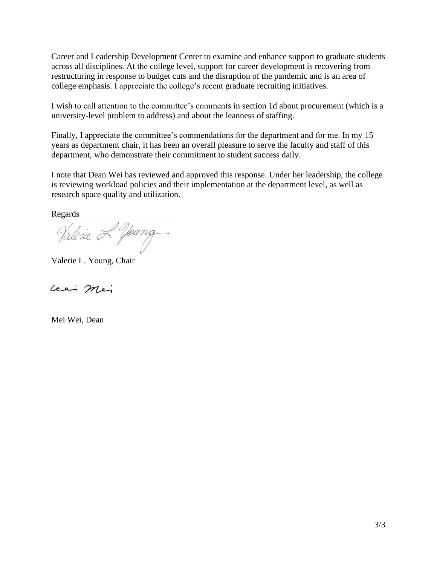Career and Leadership Development Center to examine and enhance support to graduate students across all disciplines. At the college level, support for career development is recovering from restructuring in response to budget cuts and the disruption of the pandemic and is an area of college emphasis. I appreciate the college's recent graduate recruiting initiatives.

I wish to call attention to the committee's comments in section 1d about procurement (which is a university-level problem to address) and about the leanness of staffing.

Finally, I appreciate the committee's commendations for the department and for me. In my 15 years as department chair, it has been an overall pleasure to serve the faculty and staff of this department, who demonstrate their commitment to student success daily.

I note that Dean Wei has reviewed and approved this response. Under her leadership, the college is reviewing workload policies and their implementation at the department level, as well as research space quality and utilization.

Regards

Valenie 2 Young

Valerie L. Young, Chair

Lee Mei

Mei Wei, Dean